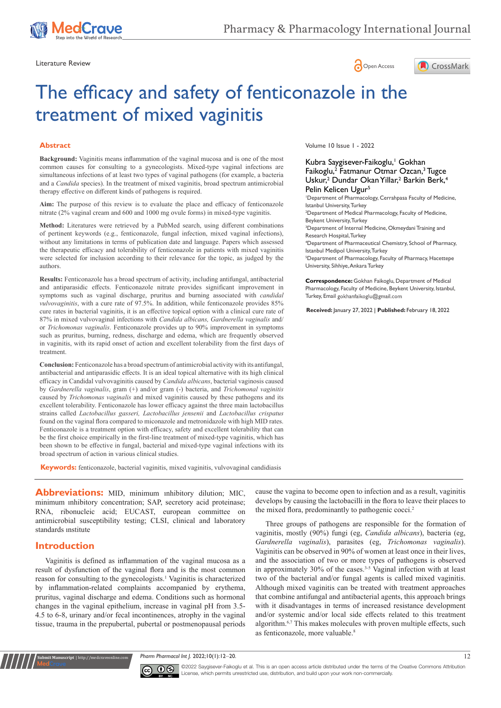

Literature Review **Contract Contract Contract Contract Contract Contract Contract Contract Contract Contract Contract Contract Contract Contract Contract Contract Contract Contract Contract Contract Contract Contract Contr** 





# The efficacy and safety of fenticonazole in the treatment of mixed vaginitis

#### **Abstract**

**Background:** Vaginitis means inflammation of the vaginal mucosa and is one of the most common causes for consulting to a gynecologists. Mixed-type vaginal infections are simultaneous infections of at least two types of vaginal pathogens (for example, a bacteria and a *Candida* species). In the treatment of mixed vaginitis, broad spectrum antimicrobial therapy effective on different kinds of pathogens is required.

**Aim:** The purpose of this review is to evaluate the place and efficacy of fenticonazole nitrate (2% vaginal cream and 600 and 1000 mg ovule forms) in mixed-type vaginitis.

**Method:** Literatures were retrieved by a PubMed search, using different combinations of pertinent keywords (e.g., fenticonazole, fungal infection, mixed vaginal infections), without any limitations in terms of publication date and language. Papers which assessed the therapeutic efficacy and tolerability of fenticonazole in patients with mixed vaginitis were selected for inclusion according to their relevance for the topic, as judged by the authors.

**Results:** Fenticonazole has a broad spectrum of activity, including antifungal, antibacterial and antiparasidic effects. Fenticonazole nitrate provides significant improvement in symptoms such as vaginal discharge, pruritus and burning associated with *candidal vulvovaginitis*, with a cure rate of 97.5%. In addition, while fenticonazole provides 85% cure rates in bacterial vaginitis, it is an effective topical option with a clinical cure rate of 87% in mixed vulvovaginal infections with *Candida albicans, Gardnerella vaginalis* and/ or *Trichomonas vaginalis*. Fenticonazole provides up to 90% improvement in symptoms such as pruritus, burning, redness, discharge and edema, which are frequently observed in vaginitis, with its rapid onset of action and excellent tolerability from the first days of treatment.

**Conclusion:** Fenticonazole has a broad spectrum of antimicrobial activity with its antifungal, antibacterial and antiparasidic effects. It is an ideal topical alternative with its high clinical efficacy in Candidal vulvovaginitis caused by *Candida albicans*, bacterial vaginosis caused by *Gardnerella vaginalis*, gram (+) and/or gram (-) bacteria, and *Trichomonal vaginitis* caused by *Trichomonas vaginalis* and mixed vaginitis caused by these pathogens and its excellent tolerability. Fenticonazole has lower efficacy against the three main lactobacillus strains called *Lactobacillus gasseri, Lactobacillus jensenii* and *Lactobacillus crispatus* found on the vaginal flora compared to miconazole and metronidazole with high MID rates. Fenticonazole is a treatment option with efficacy, safety and excellent tolerability that can be the first choice empirically in the first-line treatment of mixed-type vaginitis, which has been shown to be effective in fungal, bacterial and mixed-type vaginal infections with its broad spectrum of action in various clinical studies.

**Keywords:** fenticonazole, bacterial vaginitis, mixed vaginitis, vulvovaginal candidiasis

**Abbreviations:** MID, minimum inhibitory dilution; MIC, minimum ınhibitory concentration; SAP, secretory acid proteinase; RNA, ribonucleic acid; EUCAST, european committee on antimicrobial susceptibility testing; CLSI, clinical and laboratory standards ınstitute

## **Introduction**

**it Manuscript** | http://medcraveonline.

Vaginitis is defined as inflammation of the vaginal mucosa as a result of dysfunction of the vaginal flora and is the most common reason for consulting to the gynecologists.<sup>1</sup> Vaginitis is characterized by inflammation-related complaints accompanied by erythema, pruritus, vaginal discharge and edema. Conditions such as hormonal changes in the vaginal epithelium, increase in vaginal pH from 3.5- 4.5 to 6-8, urinary and/or fecal incontinences, atrophy in the vaginal tissue, trauma in the prepubertal, pubertal or postmenopausal periods

Volume 10 Issue 1 - 2022

#### Kubra Saygisever-Faikoglu,<sup>1</sup> Gokhan Faikoglu,<sup>2</sup> Fatmanur Otmar Ozcan,<sup>3</sup> Tugce Uskur,<sup>2</sup> Dundar Okan Yillar,<sup>2</sup> Barkin Berk,<sup>4</sup> Pelin Kelicen Ugur<sup>5</sup>

1 Department of Pharmacology, Cerrahpasa Faculty of Medicine, Istanbul University, Turkey 2 Department of Medical Pharmacology, Faculty of Medicine,

Beykent University, Turkey 3 Department of Internal Medicine, Okmeydani Training and

Research Hospital, Turkey

4 Department of Pharmaceutical Chemistry, School of Pharmacy, Istanbul Medipol University, Turkey

5 Department of Pharmacology, Faculty of Pharmacy, Hacettepe University, Sihhiye, Ankara Turkey

**Correspondence:** Gokhan Faikoglu, Department of Medical Pharmacology, Faculty of Medicine, Beykent University, Istanbul, Turkey, Email gokhanfaikoglu@gmail.com

**Received:** January 27, 2022 | **Published:** February 18, 2022

cause the vagina to become open to infection and as a result, vaginitis develops by causing the lactobacilli in the flora to leave their places to the mixed flora, predominantly to pathogenic cocci.<sup>2</sup>

Three groups of pathogens are responsible for the formation of vaginitis, mostly (90%) fungi (eg, *Candida albicans*), bacteria (eg, *Gardnerella vaginalis*), parasites (eg, *Trichomonas vaginalis*). Vaginitis can be observed in 90% of women at least once in their lives, and the association of two or more types of pathogens is observed in approximately 30% of the cases.<sup>3-5</sup> Vaginal infection with at least two of the bacterial and/or fungal agents is called mixed vaginitis. Although mixed vaginitis can be treated with treatment approaches that combine antifungal and antibacterial agents, this approach brings with it disadvantages in terms of increased resistance development and/or systemic and/or local side effects related to this treatment algorithm.<sup>6,7</sup> This makes molecules with proven multiple effects, such as fenticonazole, more valuable.<sup>8</sup>

*Pharm Pharmacol Int J.* 2022;10(1):12‒20. 12



©2022 Saygisever-Faikoglu et al. This is an open access article distributed under the terms of the [Creative Commons Attribution](https://creativecommons.org/licenses/by-nc/4.0/)  [License](https://creativecommons.org/licenses/by-nc/4.0/), which permits unrestricted use, distribution, and build upon your work non-commercially.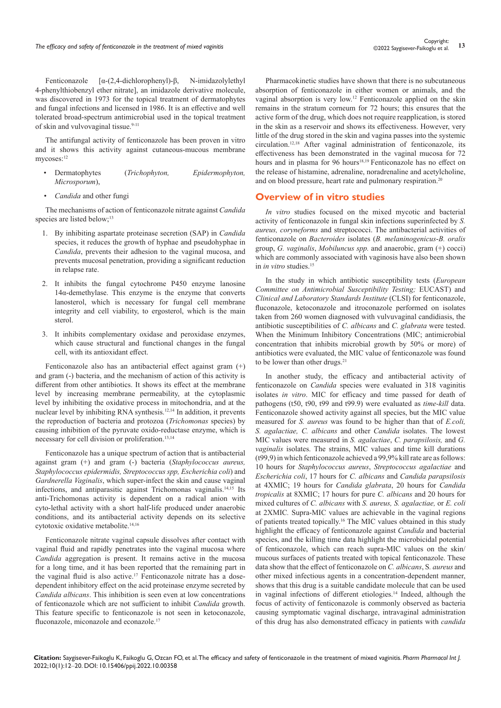Fenticonazole [α-(2,4-dichlorophenyl)-β, N-imidazolylethyl 4-phenylthiobenzyl ether nitrate], an imidazole derivative molecule, was discovered in 1973 for the topical treatment of dermatophytes and fungal infections and licensed in 1986. It is an effective and well tolerated broad-spectrum antimicrobial used in the topical treatment of skin and vulvovaginal tissue.<sup>9-11</sup>

The antifungal activity of fenticonazole has been proven in vitro and it shows this activity against cutaneous-mucous membrane mycoses:<sup>12</sup>

- Dermatophytes (*Trichophyton, Epidermophyton, Microsporum*),
- *• Candida* and other fungi

The mechanisms of action of fenticonazole nitrate against *Candida* species are listed below;<sup>13</sup>

- 1. By inhibiting aspartate proteinase secretion (SAP) in *Candida* species, it reduces the growth of hyphae and pseudohyphae in *Candida*, prevents their adhesion to the vaginal mucosa, and prevents mucosal penetration, providing a significant reduction in relapse rate.
- 2. It inhibits the fungal cytochrome P450 enzyme lanosine  $14\alpha$ -demethylase. This enzyme is the enzyme that converts lanosterol, which is necessary for fungal cell membrane integrity and cell viability, to ergosterol, which is the main sterol.
- 3. It inhibits complementary oxidase and peroxidase enzymes, which cause structural and functional changes in the fungal cell, with its antioxidant effect.

Fenticonazole also has an antibacterial effect against gram (+) and gram (-) bacteria, and the mechanism of action of this activity is different from other antibiotics. It shows its effect at the membrane level by increasing membrane permeability, at the cytoplasmic level by inhibiting the oxidative process in mitochondria, and at the nuclear level by inhibiting RNA synthesis.12,14 In addition, it prevents the reproduction of bacteria and protozoa (*Trichomonas* species) by causing inhibition of the pyruvate oxido-reductase enzyme, which is necessary for cell division or proliferation.<sup>13,14</sup>

Fenticonazole has a unique spectrum of action that is antibacterial against gram (+) and gram (-) bacteria (*Staphylococcus aureus, Staphylococcus epidermidis, Streptococcus spp, Escherichia coli*) and *Gardnerella Vaginalis*, which super-infect the skin and cause vaginal infections, and antiparasitic against Trichomonas vaginalis.14,15 Its anti-Trichomonas activity is dependent on a radical anion with cyto-lethal activity with a short half-life produced under anaerobic conditions, and its antibacterial activity depends on its selective cytotoxic oxidative metabolite.14,16

Fenticonazole nitrate vaginal capsule dissolves after contact with vaginal fluid and rapidly penetrates into the vaginal mucosa where *Candida* aggregation is present. It remains active in the mucosa for a long time, and it has been reported that the remaining part in the vaginal fluid is also active.<sup>17</sup> Fenticonazole nitrate has a dosedependent inhibitory effect on the acid proteinase enzyme secreted by *Candida albicans*. This inhibition is seen even at low concentrations of fenticonazole which are not sufficient to inhibit *Candida* growth. This feature specific to fenticonazole is not seen in ketoconazole, fluconazole, miconazole and econazole.<sup>17</sup>

Pharmacokinetic studies have shown that there is no subcutaneous absorption of fenticonazole in either women or animals, and the vaginal absorption is very low.<sup>12</sup> Fenticonazole applied on the skin remains in the stratum corneum for 72 hours; this ensures that the active form of the drug, which does not require reapplication, is stored in the skin as a reservoir and shows its effectiveness. However, very little of the drug stored in the skin and vagina passes into the systemic circulation.12,18 After vaginal administration of fenticonazole, its effectiveness has been demonstrated in the vaginal mucosa for 72 hours and in plasma for 96 hours<sup>18,19</sup> Fenticonazole has no effect on the release of histamine, adrenaline, noradrenaline and acetylcholine, and on blood pressure, heart rate and pulmonary respiration.<sup>20</sup>

## **Overview of in vitro studies**

*In vitro* studies focused on the mixed mycotic and bacterial activity of fenticonazole in fungal skin infections superinfected by *S. aureus, coryneforms* and streptococci. The antibacterial activities of fenticonazole on *Bacteroides* isolates (*B. melaninogenicus*-*B. oralis* group, *G. vaginalis*, *Mobiluncus spp.* and anaerobic, gram (+) cocci) which are commonly associated with vaginosis have also been shown in *in vitro* studies.<sup>15</sup>

In the study in which antibiotic susceptibility tests (*European Committee on Antimicrobial Susceptibility Testing;* EUCAST) and *Clinical and Laboratory Standards Institute* (CLSI) for fenticonazole, fluconazole, ketoconazole and itroconazole performed on isolates taken from 260 women diagnosed with vulvuvaginal candidiasis, the antibiotic susceptibilities of *C. albicans* and *C. glabrata* were tested. When the Minimum Inhibitory Concentrations (MIC; antimicrobial concentration that inhibits microbial growth by 50% or more) of antibiotics were evaluated, the MIC value of fenticonazole was found to be lower than other drugs.<sup>21</sup>

In another study, the efficacy and antibacterial activity of fenticonazole on *Candida* species were evaluated in 318 vaginitis isolates *in vitro*. MIC for efficacy and time passed for death of pathogens (t50, t90, t99 and t99.9) were evaluated as *time-kill* data. Fenticonazole showed activity against all species, but the MIC value measured for *S. aureus* was found to be higher than that of *E.coli, S. agalactiae, C. albicans* and other *Candida* isolates. The lowest MIC values were measured in *S. agalactiae*, *C. parapsilosis,* and *G. vaginalis* isolates. The strains, MIC values and time kill durations (t99,9) in which fenticonazole achieved a 99,9% kill rate are as follows: 10 hours for *Staphylococcus aureus*, *Streptococcus agalactiae* and *Escherichia coli*, 17 hours for *C. albicans* and *Candida parapsilosis* at 4XMIC; 19 hours for *Candida glabrata*, 20 hours for *Candida tropicalis* at 8XMIC; 17 hours for pure *C. albicans* and 20 hours for mixed cultures of *C. albicans* with *S. aureus, S. agalactiae,* or *E. coli* at 2XMIC*.* Supra-MIC values are achievable in the vaginal regions of patients treated topically.16 The MIC values obtained in this study highlight the efficacy of fenticonazole against *Candida* and bacterial species, and the killing time data highlight the microbicidal potential of fenticonazole, which can reach supra-MIC values on the skin/ mucous surfaces of patients treated with topical fenticonazole. These data show that the effect of fenticonazole on *C. albicans*, S*. aureus* and other mixed infectious agents in a concentration-dependent manner, shows that this drug is a suitable candidate molecule that can be used in vaginal infections of different etiologies.<sup>14</sup> Indeed, although the focus of activity of fenticonazole is commonly observed as bacteria causing symptomatic vaginal discharge, intravaginal administration of this drug has also demonstrated efficacy in patients with *candida*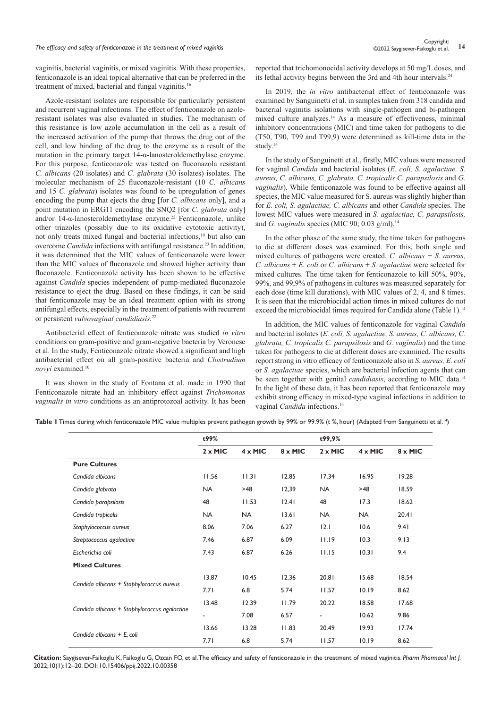# Copyright:<br>The efficacy and safety of fenticonazole in the treatment of mixed vaginitis **14** Copyright: a s al set of mixed vaginitis

vaginitis, bacterial vaginitis, or mixed vaginitis. With these properties, fenticonazole is an ideal topical alternative that can be preferred in the treatment of mixed, bacterial and fungal vaginitis.<sup>16</sup>

Azole-resistant isolates are responsible for particularly persistent and recurrent vaginal infections. The effect of fenticonazole on azoleresistant isolates was also evaluated in studies. The mechanism of this resistance is low azole accumulation in the cell as a result of the increased activation of the pump that throws the drug out of the cell, and low binding of the drug to the enzyme as a result of the mutation in the primary target 14-α-lanosteroldemethylase enzyme. For this purpose, fenticonazole was tested on fluconazola resistant *C. albicans* (20 isolates) and *C. glabrata* (30 isolates) isolates. The molecular mechanism of 25 fluconazole-resistant (10 *C. albicans* and 15 *C. glabrata*) isolates was found to be upregulation of genes encoding the pump that ejects the drug [for *C. albicans* only], and a point mutation in ERG11 encoding the SNQ2 [for *C. glabrata* only] and/or 14-α-lanosteroldemethylase enzyme.<sup>22</sup> Fenticonazole, unlike other triazoles (possibly due to its oxidative cytotoxic activity), not only treats mixed fungal and bacterial infections,19 but also can overcome *Candida* infections with antifungal resistance.<sup>23</sup> In addition, it was determined that the MIC values of fenticonazole were lower than the MIC values of fluconazole and showed higher activity than fluconazole. Fenticonazole activity has been shown to be effective against *Candida* species independent of pump-mediated fluconazole resistance to eject the drug. Based on these findings, it can be said that fenticonazole may be an ideal treatment option with its strong antifungal effects, especially in the treatment of patients with recurrent or persistent *vulvovaginal candidiasis.*<sup>22</sup>

Antibacterial effect of fenticonazole nitrate was studied *in vitro* conditions on gram-positive and gram-negative bacteria by Veronese et al. In the study, Fenticonazole nitrate showed a significant and high antibacterial effect on all gram-positive bacteria and *Clostrudium novyi* examined.10

It was shown in the study of Fontana et al. made in 1990 that Fenticonazole nitrate had an inhibitory effect against *Trichomonas vaginalis in vitro* conditions as an antiprotozoal activity. It has been reported that trichomonocidal activity develops at 50 mg/L doses, and its lethal activity begins between the 3rd and 4th hour intervals.<sup>24</sup>

In 2019, the *in vitro* antibacterial effect of fenticonazole was examined by Sanguinetti et al. in samples taken from 318 candida and bacterial vaginitis isolations with single-pathogen and bi-pathogen mixed culture analyzes.<sup>14</sup> As a measure of effectiveness, minimal inhibitory concentrations (MIC) and time taken for pathogens to die (T50, T90, T99 and T99,9) were determined as kill-time data in the study.<sup>14</sup>

In the study of Sanguinetti et al., firstly, MIC values were measured for vaginal *Candida* and bacterial isolates (*E. coli, S. agalactiae, S. aureus, C. albicans, C. glabrata, C. tropicalis C. parapsilosis* and *G. vaginalis*). While fenticonazole was found to be effective against all species, the MIC value measured for S. aureus was slightly higher than for *E. coli, S. agalactiae, C. albicans* and other *Candida* species. The lowest MIC values were measured in *S. agalactiae, C. parapsilosis,* and *G. vaginalis* species (MIC 90; 0.03 g/ml).<sup>14</sup>

In the other phase of the same study, the time taken for pathogens to die at different doses was examined. For this, both single and mixed cultures of pathogens were created. *C. albicans + S. aureus, C. albicans* + *E. coli* or *C. albicans* + *S. agalactiae* were selected for mixed cultures. The time taken for fenticonazole to kill 50%, 90%, 99%, and 99,9% of pathogens in cultures was measured separately for each dose (time kill durations), with MIC values of 2, 4, and 8 times. It is seen that the microbiocidal action times in mixed cultures do not exceed the microbiocidal times required for Candida alone (Table 1).<sup>14</sup>

In addition, the MIC values of fenticonazole for vaginal *Candida* and bacterial isolates (*E. coli, S. agalactiae, S. aureus, C. albicans, C. glabrata, C. tropicalis C. parapsilosis* and *G. vaginalis*) and the time taken for pathogens to die at different doses are examined. The results report strong in vitro efficacy of fenticonazole also in *S. aureus, E. coli* or *S. agalactiae* species, which are bacterial infection agents that can be seen together with genital *candidiasis*, according to MIC data.<sup>14</sup> In the light of these data, it has been reported that fenticonazole may exhibit strong efficacy in mixed-type vaginal infections in addition to vaginal *Candida* infections.<sup>14</sup>

Table I Times during which fenticonazole MIC value multiples prevent pathogen growth by 99% or 99.9% (t %, hour) (Adapted from Sanguinetti et al.<sup>14</sup>)

|                                              | t99%           |                |                | t99,9%                   |                |         |
|----------------------------------------------|----------------|----------------|----------------|--------------------------|----------------|---------|
|                                              |                |                |                |                          |                |         |
|                                              | $2 \times$ MIC | $4 \times$ MIC | $8 \times$ MIC | $2 \times$ MIC           | $4 \times$ MIC | 8 x MIC |
| <b>Pure Cultures</b>                         |                |                |                |                          |                |         |
| Candida albicans                             | 11.56          | 11.31          | 12.85          | 17.34                    | 16.95          | 19.28   |
| Candida glabrata                             | <b>NA</b>      | >48            | 12,39          | <b>NA</b>                | >48            | 18.59   |
| Candida parapsilosis                         | 48             | 11.53          | 12.41          | 48                       | 17.3           | 18.62   |
| Candida tropicalis                           | <b>NA</b>      | <b>NA</b>      | 13.61          | <b>NA</b>                | <b>NA</b>      | 20.41   |
| Staphylococcus aureus                        | 8.06           | 7.06           | 6.27           | 12.1                     | 10.6           | 9.41    |
| Streptococcus agalactiae                     | 7.46           | 6.87           | 6.09           | 11.19                    | 10.3           | 9.13    |
| Escherichia coli                             | 7.43           | 6.87           | 6.26           | 11.15                    | 10.31          | 9.4     |
| <b>Mixed Cultures</b>                        |                |                |                |                          |                |         |
| Candida albicans + Staphylococcus aureus     | 13.87          | 10.45          | 12.36          | 20.81                    | 15.68          | 18.54   |
|                                              | 7.71           | 6.8            | 5.74           | 11.57                    | 10.19          | 8.62    |
| Candida albicans + Staphylococcus agalactiae | 13.48          | 12.39          | 11.79          | 20.22                    | 18.58          | 17.68   |
|                                              | ۰              | 7.08           | 6.57           | $\overline{\phantom{a}}$ | 10.62          | 9.86    |
| Candida albicans + E. coli                   | 13.66          | 13.28          | 11.83          | 20.49                    | 19.93          | 17.74   |
|                                              | 7.71           | 6.8            | 5.74           | 11.57                    | 10.19          | 8.62    |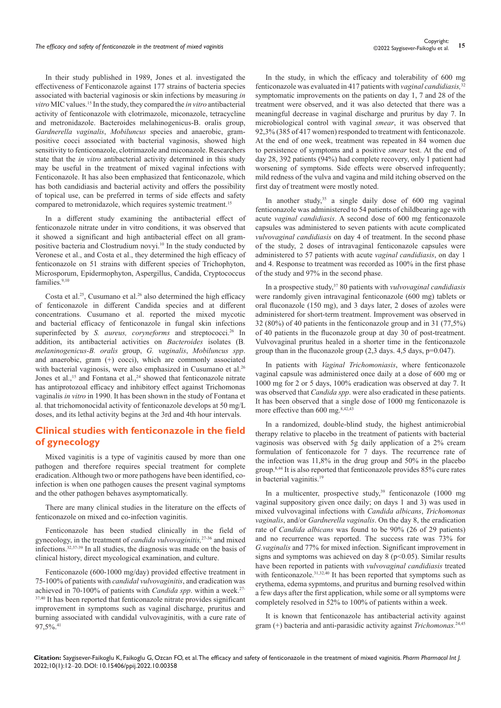In their study published in 1989, Jones et al. investigated the effectiveness of Fenticonazole against 177 strains of bacteria species associated with bacterial vaginosis or skin infections by measuring *in vitro* MIC values.15 In the study, they compared the *in vitro* antibacterial activity of fenticonazole with clotrimazole, miconazole, tetracycline and metronidazole. Bacteroides melahinogenicus-B. oralis group, *Gardnerella vaginalis*, *Mobiluncus* species and anaerobic, grampositive cocci associated with bacterial vaginosis, showed high sensitivity to fenticonazole, clotrimazole and miconazole. Researchers state that the *in vitro* antibacterial activity determined in this study may be useful in the treatment of mixed vaginal infections with Fenticonazole. It has also been emphasized that fenticonazole, which has both candidiasis and bacterial activity and offers the possibility of topical use, can be preferred in terms of side effects and safety compared to metronidazole, which requires systemic treatment.15

In a different study examining the antibacterial effect of fenticonazole nitrate under in vitro conditions, it was observed that it showed a significant and high antibacterial effect on all grampositive bacteria and Clostrudium novyi.<sup>10</sup> In the study conducted by Veronese et al., and Costa et al., they determined the high efficacy of fenticonazole on 51 strains with different species of Trichophyton, Microsporum, Epidermophyton, Aspergillus, Candida, Cryptococcus families.<sup>9,10</sup>

Costa et al.<sup>25</sup>, Cusumano et al.<sup>26</sup> also determined the high efficacy of fenticonazole in different Candida species and at different concentrations. Cusumano et al. reported the mixed mycotic and bacterial efficacy of fenticonazole in fungal skin infections superinfected by *S. aureus, coryneforms* and streptococci.<sup>26</sup> In addition, its antibacterial activities on *Bacteroides* isolates (B*. melaninogenicus-B. oralis* group, *G. vaginalis*, *Mobiluncus spp*. and anaerobic, gram (+) cocci), which are commonly associated with bacterial vaginosis, were also emphasized in Cusumano et al.<sup>26</sup> Jones et al.,<sup>15</sup> and Fontana et al.,<sup>24</sup> showed that fenticonazole nitrate has antiprotozoal efficacy and inhibitory effect against Trichomonas vaginalis *in vitro* in 1990. It has been shown in the study of Fontana et al. that trichomonocidal activity of fenticonazole develops at 50 mg/L doses, and its lethal activity begins at the 3rd and 4th hour intervals.

## **Clinical studies with fenticonazole in the field of gynecology**

Mixed vaginitis is a type of vaginitis caused by more than one pathogen and therefore requires special treatment for complete eradication. Although two or more pathogens have been identified, coinfection is when one pathogen causes the present vaginal symptoms and the other pathogen behaves asymptomatically.

There are many clinical studies in the literature on the effects of fenticonazole on mixed and co-infection vaginitis.

Fenticonazole has been studied clinically in the field of gynecology, in the treatment of *candida vulvovaginitis,*27-36 and mixed infections.32,37-39 In all studies, the diagnosis was made on the basis of clinical history, direct mycological examination, and culture.

Fenticonazole (600-1000 mg/day) provided effective treatment in 75-100% of patients with *candidal vulvovaginitis*, and eradication was achieved in 70-100% of patients with *Candida spp*. within a week.27- <sup>37,40</sup> It has been reported that fenticonazole nitrate provides significant improvement in symptoms such as vaginal discharge, pruritus and burning associated with candidal vulvovaginitis, with a cure rate of 97,5%.<sup>41</sup>

In the study, in which the efficacy and tolerability of 600 mg fenticonazole was evaluated in 417 patients with *vaginal candidiasis,*<sup>32</sup> symptomatic improvements on the patients on day 1, 7 and 28 of the treatment were observed, and it was also detected that there was a meaningful decrease in vaginal discharge and pruritus by day 7. In microbiological control with vaginal *smear*, it was observed that 92,3% (385 of 417 women) responded to treatment with fenticonazole. At the end of one week, treatment was repeated in 84 women due to persistence of symptoms and a positive *smear* test. At the end of day 28, 392 patients (94%) had complete recovery, only 1 patient had worsening of symptoms. Side effects were observed infrequently; mild redness of the vulva and vagina and mild itching observed on the first day of treatment were mostly noted.

In another study,  $35$  a single daily dose of 600 mg vaginal fenticonazole was administered to 54 patients of childbearing age with acute *vaginal candidiasis*. A second dose of 600 mg fenticonazole capsules was administered to seven patients with acute complicated *vulvovaginal candidiasis* on day 4 of treatment. In the second phase of the study, 2 doses of intravaginal fenticonazole capsules were administered to 57 patients with acute *vaginal candidiasis*, on day 1 and 4. Response to treatment was recorded as 100% in the first phase of the study and 97% in the second phase.

In a prospective study,37 80 patients with *vulvovaginal candidiasis* were randomly given intravaginal fenticonazole (600 mg) tablets or oral fluconazole (150 mg), and 3 days later, 2 doses of azoles were administered for short-term treatment. Improvement was observed in 32 (80%) of 40 patients in the fenticonazole group and in 31 (77,5%) of 40 patients in the fluconazole group at day 30 of post-treatment. Vulvovaginal pruritus healed in a shorter time in the fenticonazole group than in the fluconazole group  $(2,3$  days.  $4,5$  days,  $p=0.047$ ).

In patients with *Vaginal Trichomoniasis*, where fenticonazole vaginal capsule was administered once daily at a dose of 600 mg or 1000 mg for 2 or 5 days, 100% eradication was observed at day 7. It was observed that *Candida spp*. were also eradicated in these patients. It has been observed that a single dose of 1000 mg fenticonazole is more effective than 600 mg.<sup>8,42,43</sup>

In a randomized, double-blind study, the highest antimicrobial therapy relative to placebo in the treatment of patients with bacterial vaginosis was observed with 5g daily application of a 2% cream formulation of fenticonazole for 7 days. The recurrence rate of the infection was 11,8% in the drug group and 50% in the placebo group.8,44 It is also reported that fenticonazole provides 85% cure rates in bacterial vaginitis.19

In a multicenter, prospective study,<sup>39</sup> fenticonazole  $(1000 \text{ mg})$ vaginal suppository given once daily; on days 1 and 3) was used in mixed vulvovaginal infections with *Candida albicans*, *Trichomonas vaginalis*, and/or *Gardnerella vaginalis*. On the day 8, the eradication rate of *Candida albicans* was found to be 90% (26 of 29 patients) and no recurrence was reported. The success rate was 73% for *G.vaginalis* and 77% for mixed infection. Significant improvement in signs and symptoms was achieved on day  $8$  (p<0.05). Similar results have been reported in patients with *vulvovaginal candidiasis* treated with fenticonazole.<sup>31,32,40</sup> It has been reported that symptoms such as erythema, edema sypmtoms, and pruritus and burning resolved within a few days after the first application, while some or all symptoms were completely resolved in 52% to 100% of patients within a week.

It is known that fenticonazole has antibacterial activity against gram (+) bacteria and anti-parasidic activity against *Trichomonas.*24,45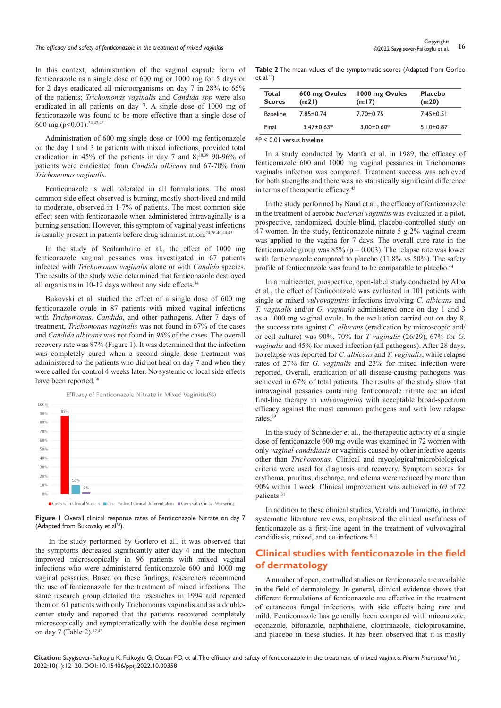# Copyright:<br>The efficacy and safety of fenticonazole in the treatment of mixed vaginitis **16** Copyright: a 16<sup>0000</sup> Copyright:

In this context, administration of the vaginal capsule form of fenticonazole as a single dose of 600 mg or 1000 mg for 5 days or for 2 days eradicated all microorganisms on day 7 in 28% to 65% of the patients; *Trichomonas vaginalis* and *Candida spp* were also eradicated in all patients on day 7. A single dose of 1000 mg of fenticonazole was found to be more effective than a single dose of 600 mg (p<0.01).34,42,43

Administration of 600 mg single dose or 1000 mg fenticonazole on the day 1 and 3 to patients with mixed infections, provided total eradication in 45% of the patients in day 7 and 8;<sup>38,39</sup> 90-96% of patients were eradicated from *Candida albicans* and 67-70% from *Trichomonas vaginalis*.

Fenticonazole is well tolerated in all formulations. The most common side effect observed is burning, mostly short-lived and mild to moderate, observed in 1-7% of patients. The most common side effect seen with fenticonazole when administered intravaginally is a burning sensation. However, this symptom of vaginal yeast infections is usually present in patients before drug administration.<sup>24,26-40,44,45</sup>

In the study of Scalambrino et al., the effect of 1000 mg fenticonazole vaginal pessaries was investigated in 67 patients infected with *Trichomonas vaginalis* alone or with *Candida* species. The results of the study were determined that fenticonazole destroyed all organisms in 10-12 days without any side effects.<sup>34</sup>

Bukovski et al. studied the effect of a single dose of 600 mg fenticonazole ovule in 87 patients with mixed vaginal infections with *Trichomonas, Candida*, and other pathogens. After 7 days of treatment, *Trichomonas vaginalis* was not found in 67% of the cases and *Candida albicans* was not found in *96%* of the cases. The overall recovery rate was 87% (Figure 1). It was determined that the infection was completely cured when a second single dose treatment was administered to the patients who did not heal on day 7 and when they were called for control 4 weeks later. No systemic or local side effects have been reported.<sup>38</sup>



Efficacy of Fenticonazole Nitrate in Mixed Vaginitis(%)

**Figure 1** Overall clinical response rates of Fenticonazole Nitrate on day 7 (Adapted from Bukovsky et al<sup>38</sup>).

In the study performed by Gorlero et al., it was observed that the symptoms decreased significantly after day 4 and the infection improved microscopically in 96 patients with mixed vaginal infections who were administered fenticonazole 600 and 1000 mg vaginal pessaries. Based on these findings, researchers recommend the use of fenticonazole for the treatment of mixed infections. The same research group detailed the researches in 1994 and repeated them on 61 patients with only Trichomonas vaginalis and as a doublecenter study and reported that the patients recovered completely microscopically and symptomatically with the double dose regimen on day 7 (Table 2).<sup>42,43</sup>

**Table 2** The mean values of the symptomatic scores (Adapted from Gorleo et  $al.43$ 

| Total<br><b>Scores</b> | 600 mg Ovules<br>(n:2) | 1000 mg Ovules<br>(n:17) | <b>Placebo</b><br>(n:20) |  |
|------------------------|------------------------|--------------------------|--------------------------|--|
| <b>Baseline</b>        | $7.85 \pm 0.74$        | $7.70 \pm 0.75$          | $7.45 \pm 0.51$          |  |
| Final                  | $3.47 \pm 0.63*$       | $3.00 \pm 0.60*$         | $5.10 \pm 0.87$          |  |

\*P < 0.01 versus baseline

In a study conducted by Manth et al. in 1989, the efficacy of fenticonazole 600 and 1000 mg vaginal pessaries in Trichomonas vaginalis infection was compared. Treatment success was achieved for both strengths and there was no statistically significant difference in terms of therapeutic efficacy.<sup>45</sup>

In the study performed by Naud et al., the efficacy of fenticonazole in the treatment of aerobic *bacterial vaginitis* was evaluated in a pilot, prospective, randomized, double-blind, placebo-controlled study on 47 women. In the study, fenticonazole nitrate 5 g 2% vaginal cream was applied to the vagina for 7 days. The overall cure rate in the fenticonazole group was  $85\%$  (p = 0.003). The relapse rate was lower with fenticonazole compared to placebo (11,8% vs 50%). The safety profile of fenticonazole was found to be comparable to placebo.<sup>44</sup>

In a multicenter, prospective, open-label study conducted by Alba et al., the effect of fenticonazole was evaluated in 101 patients with single or mixed *vulvovaginitis* infections involving *C. albicans* and *T. vaginalis* and/or *G. vaginalis* administered once on day 1 and 3 as a 1000 mg vaginal ovule. In the evaluation carried out on day 8, the success rate against *C. albicans* (eradication by microscopic and/ or cell culture) was 90%, 70% for *T vaginalis* (26/29), 67% for *G. vaginalis* and 45% for mixed infection (all pathogens). After 28 days, no relapse was reported for *C. albicans* and *T. vaginalis*, while relapse rates of 27% for *G. vaginalis* and 23% for mixed infection were reported. Overall, eradication of all disease-causing pathogens was achieved in 67% of total patients. The results of the study show that intravaginal pessaries containing fenticonazole nitrate are an ideal first-line therapy in *vulvovaginitis* with acceptable broad-spectrum efficacy against the most common pathogens and with low relapse rates.39

In the study of Schneider et al., the therapeutic activity of a single dose of fenticonazole 600 mg ovule was examined in 72 women with only *vaginal candidiasis* or vaginitis caused by other infective agents other than *Trichomonas*. Clinical and mycological/microbiological criteria were used for diagnosis and recovery. Symptom scores for erythema, pruritus, discharge, and edema were reduced by more than 90% within 1 week. Clinical improvement was achieved in 69 of 72 patients.31

In addition to these clinical studies, Veraldi and Tumietto, in three systematic literature reviews, emphasized the clinical usefulness of fenticonazole as a first-line agent in the treatment of vulvovaginal candidiasis, mixed, and co-infections.<sup>8,11</sup>

## **Clinical studies with fenticonazole in the field of dermatology**

A number of open, controlled studies on fenticonazole are available in the field of dermatology. In general, clinical evidence shows that different formulations of fenticonazole are effective in the treatment of cutaneous fungal infections, with side effects being rare and mild. Fenticonazole has generally been compared with miconazole, econazole, bifonazole, naphthalene, clotrimazole, ciclopiroxamine, and placebo in these studies. It has been observed that it is mostly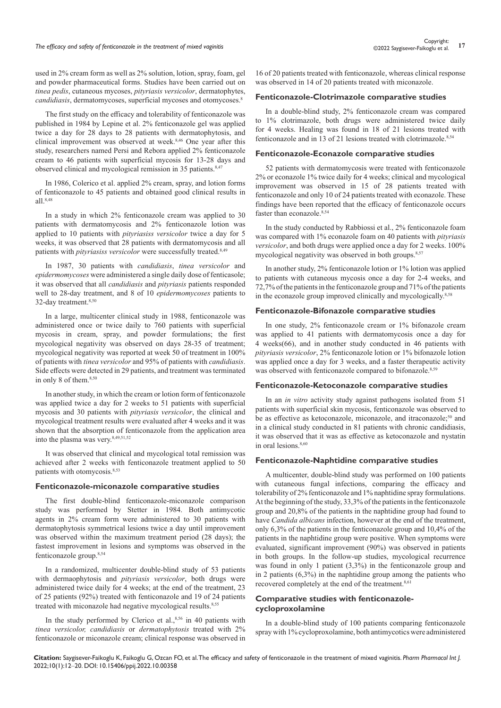used in 2% cream form as well as 2% solution, lotion, spray, foam, gel and powder pharmaceutical forms. Studies have been carried out on *tinea pedis*, cutaneous mycoses, *pityriasis versicolor*, dermatophytes, *candidiasis*, dermatomycoses, superficial mycoses and otomycoses.<sup>8</sup>

The first study on the efficacy and tolerability of fenticonazole was published in 1984 by Lepine et al. 2% fenticonazole gel was applied twice a day for 28 days to 28 patients with dermatophytosis, and clinical improvement was observed at week.8,46 One year after this study, researchers named Persi and Rebora applied 2% fenticonazole cream to 46 patients with superficial mycosis for 13-28 days and observed clinical and mycological remission in 35 patients.<sup>8,47</sup>

In 1986, Colerico et al. applied 2% cream, spray, and lotion forms of fenticonazole to 45 patients and obtained good clinical results in all.8,48

In a study in which 2% fenticonazole cream was applied to 30 patients with dermatomycosis and 2% fenticonazole lotion was applied to 10 patients with *pityriasiss versicolor* twice a day for 5 weeks, it was observed that 28 patients with dermatomycosis and all patients with *pityriasiss versicolor* were successfully treated.<sup>8,49</sup>

In 1987, 30 patients with *candidiasis*, *tinea versicolor* and *epidermomycoses* were administered a single daily dose of fenticasole; it was observed that all *candidiasis* and *pityriasis* patients responded well to 28-day treatment, and 8 of 10 *epidermomycoses* patients to 32-day treatment.<sup>8,50</sup>

In a large, multicenter clinical study in 1988, fenticonazole was administered once or twice daily to 760 patients with superficial mycosis in cream, spray, and powder formulations; the first mycological negativity was observed on days 28-35 of treatment; mycological negativity was reported at week 50 of treatment in 100% of patients with *tinea versicolor* and 95% of patients with *candidiasis*. Side effects were detected in 29 patients, and treatment was terminated in only 8 of them.<sup>8,50</sup>

In another study, in which the cream or lotion form of fenticonazole was applied twice a day for 2 weeks to 51 patients with superficial mycosis and 30 patients with *pityriasis versicolor*, the clinical and mycological treatment results were evaluated after 4 weeks and it was shown that the absorption of fenticonazole from the application area into the plasma was very.<sup>8,49,51,52</sup>

It was observed that clinical and mycological total remission was achieved after 2 weeks with fenticonazole treatment applied to 50 patients with otomycosis.8,53

#### **Fenticonazole-miconazole comparative studies**

The first double-blind fenticonazole-miconazole comparison study was performed by Stetter in 1984. Both antimycotic agents in 2% cream form were administered to 30 patients with dermatophytosis symmetrical lesions twice a day until improvement was observed within the maximum treatment period (28 days); the fastest improvement in lesions and symptoms was observed in the fenticonazole group.8,54

In a randomized, multicenter double-blind study of 53 patients with dermaophytosis and *pityriasis versicolor*, both drugs were administered twice daily for 4 weeks; at the end of the treatment, 23 of 25 patients (92%) treated with fenticonazole and 19 of 24 patients treated with miconazole had negative mycological results.<sup>8,55</sup>

In the study performed by Clerico et al.,<sup>8,56</sup> in 40 patients with *tinea versicolor, candidiasis* or *dermatophytosis* treated with 2% fenticonazole or miconazole cream; clinical response was observed in

16 of 20 patients treated with fenticonazole, whereas clinical response was observed in 14 of 20 patients treated with miconazole.

#### **Fenticonazole-Clotrimazole comparative studies**

In a double-blind study, 2% fenticonazole cream was compared to 1% clotrimazole, both drugs were administered twice daily for 4 weeks. Healing was found in 18 of 21 lesions treated with fenticonazole and in 13 of 21 lesions treated with clotrimazole.<sup>8,54</sup>

#### **Fenticonazole-Econazole comparative studies**

52 patients with dermatomycosis were treated with fenticonazole 2% or econazole 1% twice daily for 4 weeks; clinical and mycological improvement was observed in 15 of 28 patients treated with fenticonazole and only 10 of 24 patients treated with econazole. These findings have been reported that the efficacy of fenticonazole occurs faster than econazole.<sup>8,54</sup>

In the study conducted by Rabbiossi et al., 2% fenticonazole foam was compared with 1% econazole foam on 40 patients with *pityriasis versicolor*, and both drugs were applied once a day for 2 weeks. 100% mycological negativity was observed in both groups.<sup>8,57</sup>

In another study, 2% fenticonazole lotion or 1% lotion was applied to patients with cutaneous mycosis once a day for 2-4 weeks, and 72,7% of the patients in the fenticonazole group and 71% of the patients in the econazole group improved clinically and mycologically.8,58

#### **Fenticonazole-Bifonazole comparative studies**

In one study, 2% fenticonazole cream or 1% bifonazole cream was applied to 41 patients with dermatomycosis once a day for 4 weeks(66), and in another study conducted in 46 patients with *pityriasis versicolor*, 2% fenticonazole lotion or 1% bifonazole lotion was applied once a day for 3 weeks, and a faster therapeutic activity was observed with fenticonazole compared to bifonazole.<sup>8,59</sup>

#### **Fenticonazole-Ketoconazole comparative studies**

In an *in vitro* activity study against pathogens isolated from 51 patients with superficial skin mycosis, fenticonazole was observed to be as effective as ketoconazole, miconazole, and itraconazole;<sup>50</sup> and in a clinical study conducted in 81 patients with chronic candidiasis, it was observed that it was as effective as ketoconazole and nystatin in oral lesions.<sup>8,60</sup>

#### **Fenticonazole-Naphtidine comparative studies**

A multicenter, double-blind study was performed on 100 patients with cutaneous fungal infections, comparing the efficacy and tolerability of 2% fenticonazole and 1% naphtidine spray formulations. At the beginning of the study, 33,3% of the patients in the fenticonazole group and 20,8% of the patients in the naphtidine group had found to have *Candida albicans* infection, however at the end of the treatment, only 6,3% of the patients in the fenticonazole group and 10,4% of the patients in the naphtidine group were positive. When symptoms were evaluated, significant improvement (90%) was observed in patients in both groups. In the follow-up studies, mycological recurrence was found in only 1 patient (3,3%) in the fenticonazole group and in 2 patients (6,3%) in the naphtidine group among the patients who recovered completely at the end of the treatment.<sup>8,61</sup>

#### **Comparative studies with fenticonazolecycloproxolamine**

In a double-blind study of 100 patients comparing fenticonazole spray with 1% cycloproxolamine, both antimycotics were administered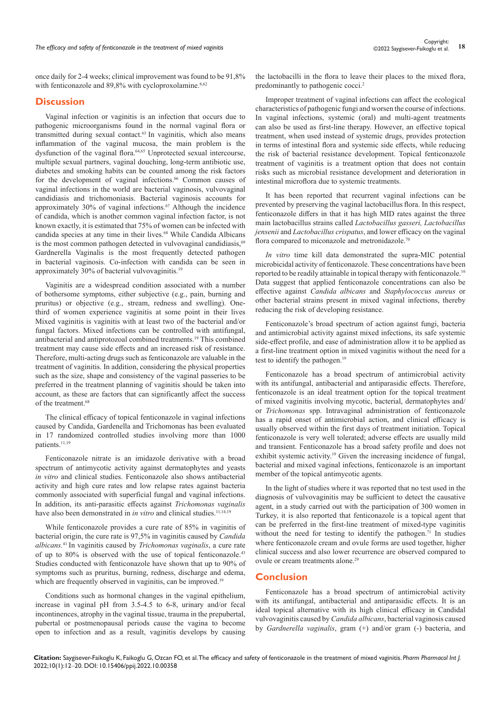once daily for 2-4 weeks; clinical improvement was found to be 91,8% with fenticonazole and 89,8% with cycloproxolamine.<sup>8,62</sup>

#### **Discussion**

Vaginal infection or vaginitis is an infection that occurs due to pathogenic microorganisms found in the normal vaginal flora or transmitted during sexual contact.<sup>63</sup> In vaginitis, which also means inflammation of the vaginal mucosa, the main problem is the dysfunction of the vaginal flora.<sup>64,65</sup> Unprotected sexual intercourse, multiple sexual partners, vaginal douching, long-term antibiotic use, diabetes and smoking habits can be counted among the risk factors for the development of vaginal infections.<sup>66</sup> Common causes of vaginal infections in the world are bacterial vaginosis, vulvovaginal candidiasis and trichomoniasis. Bacterial vaginosis accounts for approximately 30% of vaginal infections.67 Although the incidence of candida, which is another common vaginal infection factor, is not known exactly, it is estimated that 75% of women can be infected with candida species at any time in their lives.<sup>68</sup> While Candida Albicans is the most common pathogen detected in vulvovaginal candidiasis,<sup>69</sup> Gardnerella Vaginalis is the most frequently detected pathogen in bacterial vaginosis. Co-infection with candida can be seen in approximately 30% of bacterial vulvovaginitis.<sup>19</sup>

Vaginitis are a widespread condition associated with a number of bothersome symptoms, either subjective (e.g., pain, burning and pruritus) or objective (e.g., stream, redness and swelling). Onethird of women experience vaginitis at some point in their lives Mixed vaginitis is vaginitis with at least two of the bacterial and/or fungal factors. Mixed infections can be controlled with antifungal, antibacterial and antiprotozoal combined treatments.19 This combined treatment may cause side effects and an increased risk of resistance. Therefore, multi-acting drugs such as fenticonazole are valuable in the treatment of vaginitis. In addition, considering the physical properties such as the size, shape and consistency of the vaginal passeries to be preferred in the treatment planning of vaginitis should be taken into account, as these are factors that can significantly affect the success of the treatment.<sup>68</sup>

The clinical efficacy of topical fenticonazole in vaginal infections caused by Candida, Gardenella and Trichomonas has been evaluated in 17 randomized controlled studies involving more than 1000 patients.<sup>11,19</sup>

Fenticonazole nitrate is an imidazole derivative with a broad spectrum of antimycotic activity against dermatophytes and yeasts *in vitro* and clinical studies. Fenticonazole also shows antibacterial activity and high cure rates and low relapse rates against bacteria commonly associated with superficial fungal and vaginal infections. In addition, its anti-parasitic effects against *Trichomonas vaginalis* have also been demonstrated in *in vitro* and clinical studies.<sup>11,14,19</sup>

While fenticonazole provides a cure rate of 85% in vaginitis of bacterial origin, the cure rate is 97,5% in vaginitis caused by *Candida albicans.*<sup>41</sup> In vaginitis caused by *Trichomonas vaginalis*, a cure rate of up to 80% is observed with the use of topical fenticonazole.43 Studies conducted with fenticonazole have shown that up to 90% of symptoms such as pruritus, burning, redness, discharge and edema, which are frequently observed in vaginitis, can be improved.<sup>19</sup>

Conditions such as hormonal changes in the vaginal epithelium, increase in vaginal pH from 3.5-4.5 to 6-8, urinary and/or fecal incontinences, atrophy in the vaginal tissue, trauma in the prepubertal, pubertal or postmenopausal periods cause the vagina to become open to infection and as a result, vaginitis develops by causing

the lactobacilli in the flora to leave their places to the mixed flora, predominantly to pathogenic cocci.<sup>2</sup>

Improper treatment of vaginal infections can affect the ecological characteristics of pathogenic fungi and worsen the course of infections. In vaginal infections, systemic (oral) and multi-agent treatments can also be used as first-line therapy. However, an effective topical treatment, when used instead of systemic drugs, provides protection in terms of intestinal flora and systemic side effects, while reducing the risk of bacterial resistance development. Topical fenticonazole treatment of vaginitis is a treatment option that does not contain risks such as microbial resistance development and deterioration in intestinal microflora due to systemic treatments.

It has been reported that recurrent vaginal infections can be prevented by preserving the vaginal lactobacillus flora. In this respect, fenticonazole differs in that it has high MID rates against the three main lactobacillus strains called *Lactobacillus gasseri, Lactobacillus jensenii* and *Lactobacillus crispatus*, and lower efficacy on the vaginal flora compared to miconazole and metronidazole.<sup>70</sup>

*In vitro* time kill data demonstrated the supra-MIC potential microbicidal activity of fenticonazole. These concentrations have been reported to be readily attainable in topical therapy with fenticonazole.16 Data suggest that applied fenticonazole concentrations can also be effective against *Candida albicans* and *Staphylococcus aureus* or other bacterial strains present in mixed vaginal infections, thereby reducing the risk of developing resistance.

Fenticonazole's broad spectrum of action against fungi, bacteria and antimicrobial activity against mixed infections, its safe systemic side-effect profile, and ease of administration allow it to be applied as a first-line treatment option in mixed vaginitis without the need for a test to identify the pathogen.<sup>19</sup>

Fenticonazole has a broad spectrum of antimicrobial activity with its antifungal, antibacterial and antiparasidic effects. Therefore, fenticonazole is an ideal treatment option for the topical treatment of mixed vaginitis involving mycotic, bacterial, dermatophytes and/ or *Trichomonas* spp. Intravaginal administration of fenticonazole has a rapid onset of antimicrobial action, and clinical efficacy is usually observed within the first days of treatment initiation. Topical fenticonazole is very well tolerated; adverse effects are usually mild and transient. Fenticonazole has a broad safety profile and does not exhibit systemic activity.<sup>19</sup> Given the increasing incidence of fungal, bacterial and mixed vaginal infections, fenticonazole is an important member of the topical antimycotic agents.

In the light of studies where it was reported that no test used in the diagnosis of vulvovaginitis may be sufficient to detect the causative agent, in a study carried out with the participation of 300 women in Turkey, it is also reported that fenticonazole is a topical agent that can be preferred in the first-line treatment of mixed-type vaginitis without the need for testing to identify the pathogen.<sup>71</sup> In studies where fenticonazole cream and ovule forms are used together, higher clinical success and also lower recurrence are observed compared to ovule or cream treatments alone.<sup>29</sup>

#### **Conclusion**

Fenticonazole has a broad spectrum of antimicrobial activity with its antifungal, antibacterial and antiparasidic effects. It is an ideal topical alternative with its high clinical efficacy in Candidal vulvovaginitis caused by *Candida albicans*, bacterial vaginosis caused by *Gardnerella vaginalis*, gram (+) and/or gram (-) bacteria, and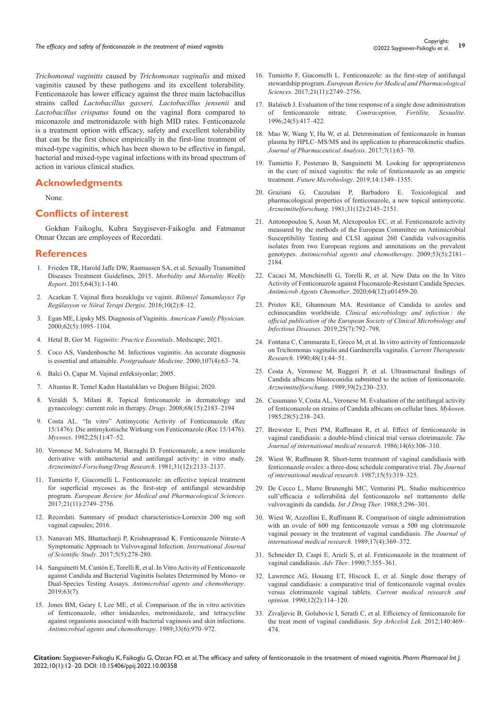Copyright:<br>19 The efficacy and safety of fenticonazole in the treatment of mixed vaginitis **19** Copyright:<br>19 Copyright: 19 Copyright: 19 Copyright: 19 Copyright: 19 Copyright: 19 Copyright: 19 Copyright: 19 Copyright:

*Trichomonal vaginitis* caused by *Trichomonas vaginalis* and mixed vaginitis caused by these pathogens and its excellent tolerability. Fenticonazole has lower efficacy against the three main lactobacillus strains called *Lactobacillus gasseri, Lactobacillus jensenii* and *Lactobacillus crispatus* found on the vaginal flora compared to miconazole and metronidazole with high MID rates. Fenticonazole is a treatment option with efficacy, safety and excellent tolerability that can be the first choice empirically in the first-line treatment of mixed-type vaginitis, which has been shown to be effective in fungal, bacterial and mixed-type vaginal infections with its broad spectrum of action in various clinical studies.

## **Acknowledgments**

None.

## **Conflicts of interest**

Gokhan Faikoglu, Kubra Saygisever-Faikoglu and Fatmanur Otmar Ozcan are employees of Recordati.

## **References**

- 1. [Frieden TR, Harold Jaffe DW, Rasmussen SA, et al. Sexually Transmitted](https://www.cdc.gov/mmwr/pdf/rr/rr6403.pdf)  [Diseases Treatment Guidelines, 2015.](https://www.cdc.gov/mmwr/pdf/rr/rr6403.pdf) *Morbidity and Mortality Weekly Report*[. 2015;64\(3\):1-140.](https://www.cdc.gov/mmwr/pdf/rr/rr6403.pdf)
- 2. [Acarkan T. Vajinal flora bozukluğu ve vajinit.](https://dergipark.org.tr/en/pub/barnat/issue/42338/509478) *Bilimsel Tamamlayıcı Tıp Regülasyon ve Nöral Terapi Dergisi*[. 2016;10\(2\):8–12.](https://dergipark.org.tr/en/pub/barnat/issue/42338/509478)
- 3. [Egan ME, Lipsky MS. Diagnosis of Vaginitis.](https://pubmed.ncbi.nlm.nih.gov/10997533/) *American Family Physician*. [2000;62\(5\):1095–1104.](https://pubmed.ncbi.nlm.nih.gov/10997533/)
- 4. Hetal B, Gor M. *[Vaginitis: Practice Essentials](https://emedicine.medscape.com/article/257141-overview)*. Medscape; 2021.
- 5. [Coco AS, Vandenbosche M. Infectious vaginitis. An accurate diagnosis](https://pubmed.ncbi.nlm.nih.gov/10778411/)  [is essential and attainable.](https://pubmed.ncbi.nlm.nih.gov/10778411/) *Postgraduate Medicine*. 2000;107(4):63–74.
- 6. Balci O, Çapar M. Vajinal enfeksiyonlar; 2005.
- 7. Altuntas R. Temel Kadın Hastalıkları ve Doğum Bilgisi; 2020.
- 8. [Veraldi S, Milani R. Topical fenticonazole in dermatology and](https://pubmed.ncbi.nlm.nih.gov/18840006/)  [gynaecology: current role in therapy.](https://pubmed.ncbi.nlm.nih.gov/18840006/) *Drugs*. 2008;68(15):2183–2194
- 9. [Costa AL. "In vitro" Antimycotic Activity of Fenticonazole \(Rec](https://onlinelibrary.wiley.com/doi/abs/10.1111/j.1439-0507.1982.tb02716.x)  [15/1476\): Die antimykotische Wirkung von Fenticonazole \(Rec 15/1476\).](https://onlinelibrary.wiley.com/doi/abs/10.1111/j.1439-0507.1982.tb02716.x) *Mycoses*[. 1982;25\(1\):47–52.](https://onlinelibrary.wiley.com/doi/abs/10.1111/j.1439-0507.1982.tb02716.x)
- 10. [Veronese M, Salvaterra M, Barzaghi D. Fenticonazole, a new imidazole](https://pubmed.ncbi.nlm.nih.gov/7199313/)  [derivative with antibacterial and antifungal activity: in vitro study.](https://pubmed.ncbi.nlm.nih.gov/7199313/)  *[Arzneimittel-Forschung/Drug Research](https://pubmed.ncbi.nlm.nih.gov/7199313/)*. 1981;31(12):2133–2137.
- 11. [Tumietto F, Giacomelli L. Fenticonazole: an effective topical treatment](https://pubmed.ncbi.nlm.nih.gov/28678309/)  [for superficial mycoses as the first-step of antifungal stewardship](https://pubmed.ncbi.nlm.nih.gov/28678309/)  program. *[European Review for Medical and Pharmacological Sciences](https://pubmed.ncbi.nlm.nih.gov/28678309/)*. [2017;21\(11\):2749–2756.](https://pubmed.ncbi.nlm.nih.gov/28678309/)
- 12. [Recordati. Summary of product characteristics-Lomexin 200 mg soft](https://myhealthbox.eu/en/lomexin-200mg-capsules-vaginal/4590163)  [vaginal capsules; 2016.](https://myhealthbox.eu/en/lomexin-200mg-capsules-vaginal/4590163)
- 13. [Nanavati MS, Bhattacharji P, Krishnaprasad K. Fenticonazole Nitrate-A](https://www.ijss-sn.com/uploads/2/0/1/5/20153321/ijss_aug_ra01_-_2017.pdf)  [Symptomatic Approach to Vulvovaginal Infection.](https://www.ijss-sn.com/uploads/2/0/1/5/20153321/ijss_aug_ra01_-_2017.pdf) *International Journal of Scientific Study*[. 2017;5\(5\):278-280.](https://www.ijss-sn.com/uploads/2/0/1/5/20153321/ijss_aug_ra01_-_2017.pdf)
- 14. Sanguinetti M, Cantó[n E, Torelli R, et al. In Vitro Activity of Fenticonazole](https://pubmed.ncbi.nlm.nih.gov/31061161/#:~:text=At concentrations equal to 4,for Candida glabrata and Candida)  [against Candida and Bacterial Vaginitis Isolates Determined by Mono- or](https://pubmed.ncbi.nlm.nih.gov/31061161/#:~:text=At concentrations equal to 4,for Candida glabrata and Candida)  Dual-Species Testing Assays. *[Antimicrobial agents and chemotherapy](https://pubmed.ncbi.nlm.nih.gov/31061161/#:~:text=At concentrations equal to 4,for Candida glabrata and Candida)*. [2019;63\(7\).](https://pubmed.ncbi.nlm.nih.gov/31061161/#:~:text=At concentrations equal to 4,for Candida glabrata and Candida)
- 15. [Jones BM, Geary I, Lee ME, et al. Comparison of the in vitro activities](https://pubmed.ncbi.nlm.nih.gov/2764547/)  [of fenticonazole, other imidazoles, metronidazole, and tetracycline](https://pubmed.ncbi.nlm.nih.gov/2764547/)  [against organisms associated with bacterial vaginosis and skin infections.](https://pubmed.ncbi.nlm.nih.gov/2764547/)  *[Antimicrobial agents and chemotherapy](https://pubmed.ncbi.nlm.nih.gov/2764547/)*. 1989;33(6):970–972.
- 16. [Tumietto F, Giacomelli L. Fenticonazole: as the first-step of antifungal](https://pubmed.ncbi.nlm.nih.gov/28678309/)  stewardship program. *[European Review for Medical and](https://pubmed.ncbi.nlm.nih.gov/28678309/) Pharmacological Sciences*[. 2017;21\(11\):2749–2756.](https://pubmed.ncbi.nlm.nih.gov/28678309/)
- 17. Balaï[sch J. Evaluation of the time response of a single dose administration](https://pubmed.ncbi.nlm.nih.gov/8704823/)  of fenticonazole nitrate. *[Contraception, Fertilite, Sexualite](https://pubmed.ncbi.nlm.nih.gov/8704823/)*. [1996;24\(5\):417–422.](https://pubmed.ncbi.nlm.nih.gov/8704823/)
- 18. [Mao W, Wang Y, Hu W, et al. Determination of fenticonazole in human](https://pubmed.ncbi.nlm.nih.gov/29404019/)  [plasma by HPLC–MS/MS and its application to pharmacokinetic studies.](https://pubmed.ncbi.nlm.nih.gov/29404019/)  *[Journal of Pharmaceutical Analysis](https://pubmed.ncbi.nlm.nih.gov/29404019/)*. 2017;7(1):63–70.
- 19. [Tumietto F, Posteraro B, Sanguinetti M. Looking for appropriateness](https://pubmed.ncbi.nlm.nih.gov/31845594/)  [in the cure of mixed vaginitis: the role of fenticonazole as an empiric](https://pubmed.ncbi.nlm.nih.gov/31845594/)  treatment. *Future Microbiology*[. 2019;14:1349–1355.](https://pubmed.ncbi.nlm.nih.gov/31845594/)
- 20. [Graziani G, Cazzulani P, Barbadoro E. Toxicological and](https://pubmed.ncbi.nlm.nih.gov/7199316/)  [pharmacological properties of fenticonazole, a new topical antimycotic.](https://pubmed.ncbi.nlm.nih.gov/7199316/)  *Arzneimittelforschung*[. 1981;31\(12\):2145–2151.](https://pubmed.ncbi.nlm.nih.gov/7199316/)
- 21. [Antonopoulou S, Aoun M, Alexopoulos EC, et al. Fenticonazole activity](https://pubmed.ncbi.nlm.nih.gov/19223627/)  [measured by the methods of the European Committee on Antimicrobial](https://pubmed.ncbi.nlm.nih.gov/19223627/)  [Susceptibility Testing and CLSI against 260 Candida vulvovaginitis](https://pubmed.ncbi.nlm.nih.gov/19223627/)  [isolates from two European regions and annotations on the prevalent](https://pubmed.ncbi.nlm.nih.gov/19223627/)  genotypes. *[Antimicrobial agents and chemotherapy](https://pubmed.ncbi.nlm.nih.gov/19223627/)*. 2009;53(5):2181– [2184.](https://pubmed.ncbi.nlm.nih.gov/19223627/)
- 22. [Cacaci M, Menchinelli G, Torelli R, et al. New Data on the In Vitro](https://pubmed.ncbi.nlm.nih.gov/32988826/)  [Activity of Fenticonazole against Fluconazole-Resistant Candida Species.](https://pubmed.ncbi.nlm.nih.gov/32988826/)  *[Antimicrob Agents Chemother](https://pubmed.ncbi.nlm.nih.gov/32988826/)*. 2020;64(12):e01459-20.
- 23. [Pristov KE, Ghannoum MA. Resistance of Candida to azoles and](https://pubmed.ncbi.nlm.nih.gov/30965100/#:~:text=Azoles and echinocandins are antifungal,clinical setting can be seen.)  echinocandins worldwide. *[Clinical microbiology and infection](https://pubmed.ncbi.nlm.nih.gov/30965100/#:~:text=Azoles and echinocandins are antifungal,clinical setting can be seen.) : the [official publication of the European Society of Clinical Microbiology and](https://pubmed.ncbi.nlm.nih.gov/30965100/#:~:text=Azoles and echinocandins are antifungal,clinical setting can be seen.)  Infectious Diseases*[. 2019;25\(7\):792–798.](https://pubmed.ncbi.nlm.nih.gov/30965100/#:~:text=Azoles and echinocandins are antifungal,clinical setting can be seen.)
- 24. Fontana C, Cammarata E, Greco M, et al. In vitro activity of fenticonazole on Trichomonas vaginalis and Gardnerella vaginalis. *Current Therapeutic Research*. 1990;48(1):44–51.
- 25. [Costa A, Veronese M, Ruggeri P, et al. Ultrastructural findings of](http://jglobal.jst.go.jp/en/public/20090422/200902031767457078)  [Candida albicans blastoconidia submitted to the action of fenticonazole.](http://jglobal.jst.go.jp/en/public/20090422/200902031767457078)  *Arzneimittelforschung*[. 1989;39\(2\):230–233.](http://jglobal.jst.go.jp/en/public/20090422/200902031767457078)
- 26. [Cusumano V, Costa AL, Veronese M. Evaluation of the antifungal activity](https://pubmed.ncbi.nlm.nih.gov/3892289/)  [of fenticonazole on strains of Candida albicans on cellular lines.](https://pubmed.ncbi.nlm.nih.gov/3892289/) *Mykosen*. [1985;28\(5\):238–243.](https://pubmed.ncbi.nlm.nih.gov/3892289/)
- 27. [Brewster E, Preti PM, Ruffmann R, et al. Effect of fenticonazole in](https://pubmed.ncbi.nlm.nih.gov/3542628/)  [vaginal candidiasis: a double-blind clinical trial versus clotrimazole.](https://pubmed.ncbi.nlm.nih.gov/3542628/) *The [Journal of international medical research](https://pubmed.ncbi.nlm.nih.gov/3542628/)*. 1986;14(6):306–310.
- 28. [Wiest W, Ruffmann R. Short-term treatment of vaginal candidiasis with](https://pubmed.ncbi.nlm.nih.gov/3315778/)  [fenticonazole ovules: a three-dose schedule comparative trial.](https://pubmed.ncbi.nlm.nih.gov/3315778/) *The Journal [of international medical research](https://pubmed.ncbi.nlm.nih.gov/3315778/)*. 1987;15(5):319–325.
- 29. De Cecco L, Marre Brunenghi MC, Venturini PL. Studio multicentrico sull'efficacia e tollerabilità del fenticonazolo nel trattamento delle vulvovaginiti da candida. *Int J Drug Ther*. 1988;5:296–301.
- 30. [Wiest W, Azzollini E, Ruffmann R. Comparison of single administration](https://pubmed.ncbi.nlm.nih.gov/2676652/)  [with an ovule of 600 mg fenticonazole versus a 500 mg clotrimazole](https://pubmed.ncbi.nlm.nih.gov/2676652/)  [vaginal pessary in the treatment of vaginal candidiasis.](https://pubmed.ncbi.nlm.nih.gov/2676652/) *The Journal of [international medical research](https://pubmed.ncbi.nlm.nih.gov/2676652/)*. 1989;17(4):369–372.
- 31. Schneider D, Caspi E, Arieli S, et al. Fenticonazole in the treatment of vaginal candidiasis. *Adv Ther*. 1990;7:355–361.
- 32. [Lawrence AG, Houang ET, Hiscock E, et al. Single dose therapy of](https://pubmed.ncbi.nlm.nih.gov/2202548/)  [vaginal candidiasis: a comparative trial of fenticonazole vaginal ovules](https://pubmed.ncbi.nlm.nih.gov/2202548/)  [versus clotrimazole vaginal tablets.](https://pubmed.ncbi.nlm.nih.gov/2202548/) *Current medical research and opinion*[. 1990;12\(2\):114–120.](https://pubmed.ncbi.nlm.nih.gov/2202548/)
- 33. [Zivaljevic B, Golubovic I, Seratli C, et al. Efficiency of fenticonazole for](https://pubmed.ncbi.nlm.nih.gov/23092032/#:~:text=Side effects were very seldom,the treatment of vaginal candidiasis.)  [the treat ment of vaginal candidiasis.](https://pubmed.ncbi.nlm.nih.gov/23092032/#:~:text=Side effects were very seldom,the treatment of vaginal candidiasis.) *Srp Arhcelok Lek.* 2012;140:469– [474.](https://pubmed.ncbi.nlm.nih.gov/23092032/#:~:text=Side effects were very seldom,the treatment of vaginal candidiasis.)